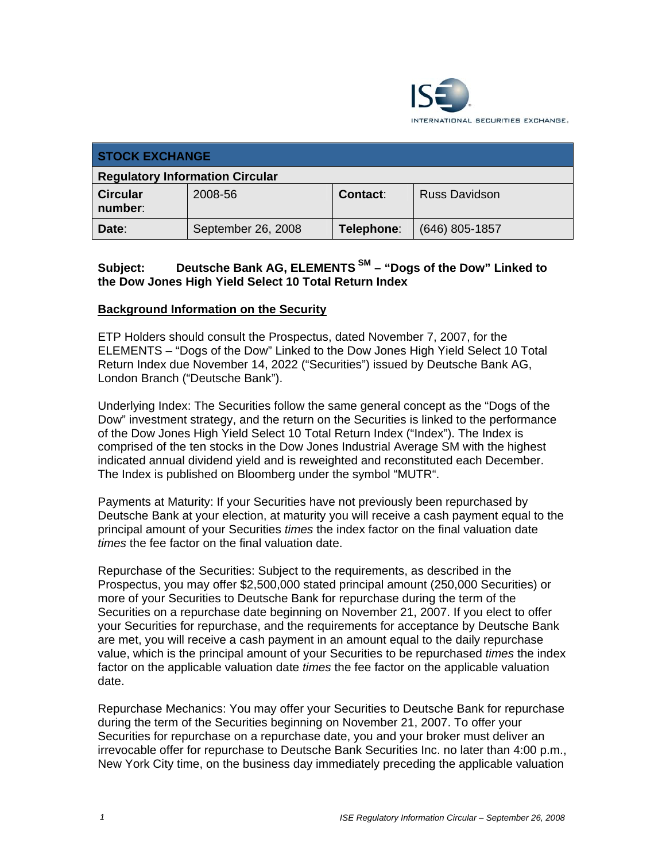

| <b>STOCK EXCHANGE</b>                  |                    |            |                      |
|----------------------------------------|--------------------|------------|----------------------|
| <b>Regulatory Information Circular</b> |                    |            |                      |
| <b>Circular</b><br>number:             | 2008-56            | Contact:   | <b>Russ Davidson</b> |
| Date:                                  | September 26, 2008 | Telephone: | (646) 805-1857       |

# **Subject: Deutsche Bank AG, ELEMENTS SM – "Dogs of the Dow" Linked to the Dow Jones High Yield Select 10 Total Return Index**

### **Background Information on the Security**

ETP Holders should consult the Prospectus, dated November 7, 2007, for the ELEMENTS – "Dogs of the Dow" Linked to the Dow Jones High Yield Select 10 Total Return Index due November 14, 2022 ("Securities") issued by Deutsche Bank AG, London Branch ("Deutsche Bank").

Underlying Index: The Securities follow the same general concept as the "Dogs of the Dow" investment strategy, and the return on the Securities is linked to the performance of the Dow Jones High Yield Select 10 Total Return Index ("Index"). The Index is comprised of the ten stocks in the Dow Jones Industrial Average SM with the highest indicated annual dividend yield and is reweighted and reconstituted each December. The Index is published on Bloomberg under the symbol "MUTR".

Payments at Maturity: If your Securities have not previously been repurchased by Deutsche Bank at your election, at maturity you will receive a cash payment equal to the principal amount of your Securities *times* the index factor on the final valuation date *times* the fee factor on the final valuation date.

Repurchase of the Securities: Subject to the requirements, as described in the Prospectus, you may offer \$2,500,000 stated principal amount (250,000 Securities) or more of your Securities to Deutsche Bank for repurchase during the term of the Securities on a repurchase date beginning on November 21, 2007. If you elect to offer your Securities for repurchase, and the requirements for acceptance by Deutsche Bank are met, you will receive a cash payment in an amount equal to the daily repurchase value, which is the principal amount of your Securities to be repurchased *times* the index factor on the applicable valuation date *times* the fee factor on the applicable valuation date.

Repurchase Mechanics: You may offer your Securities to Deutsche Bank for repurchase during the term of the Securities beginning on November 21, 2007. To offer your Securities for repurchase on a repurchase date, you and your broker must deliver an irrevocable offer for repurchase to Deutsche Bank Securities Inc. no later than 4:00 p.m., New York City time, on the business day immediately preceding the applicable valuation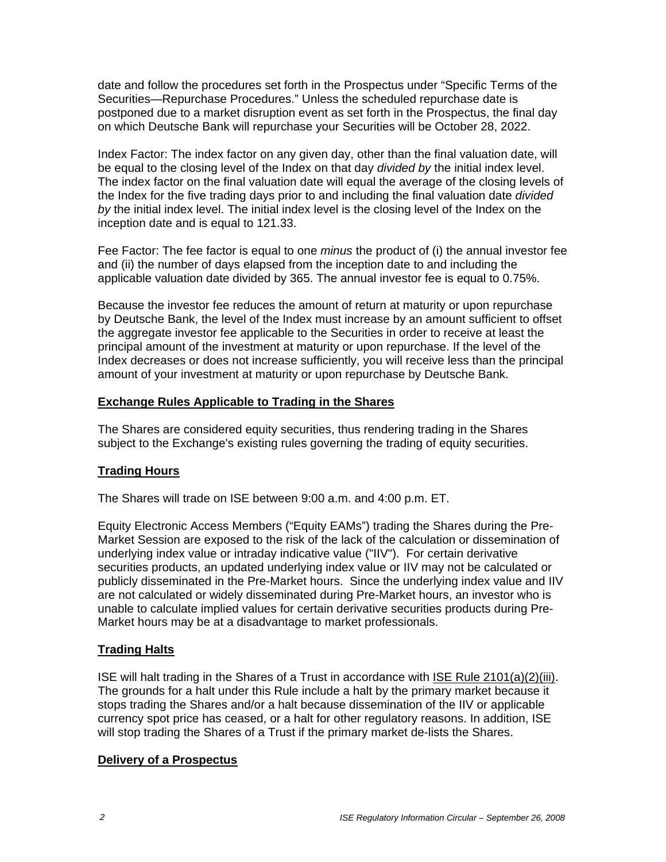date and follow the procedures set forth in the Prospectus under "Specific Terms of the Securities—Repurchase Procedures." Unless the scheduled repurchase date is postponed due to a market disruption event as set forth in the Prospectus, the final day on which Deutsche Bank will repurchase your Securities will be October 28, 2022.

Index Factor: The index factor on any given day, other than the final valuation date, will be equal to the closing level of the Index on that day *divided by* the initial index level. The index factor on the final valuation date will equal the average of the closing levels of the Index for the five trading days prior to and including the final valuation date *divided by* the initial index level. The initial index level is the closing level of the Index on the inception date and is equal to 121.33.

Fee Factor: The fee factor is equal to one *minus* the product of (i) the annual investor fee and (ii) the number of days elapsed from the inception date to and including the applicable valuation date divided by 365. The annual investor fee is equal to 0.75%.

Because the investor fee reduces the amount of return at maturity or upon repurchase by Deutsche Bank, the level of the Index must increase by an amount sufficient to offset the aggregate investor fee applicable to the Securities in order to receive at least the principal amount of the investment at maturity or upon repurchase. If the level of the Index decreases or does not increase sufficiently, you will receive less than the principal amount of your investment at maturity or upon repurchase by Deutsche Bank.

### **Exchange Rules Applicable to Trading in the Shares**

The Shares are considered equity securities, thus rendering trading in the Shares subject to the Exchange's existing rules governing the trading of equity securities.

### **Trading Hours**

The Shares will trade on ISE between 9:00 a.m. and 4:00 p.m. ET.

Equity Electronic Access Members ("Equity EAMs") trading the Shares during the Pre-Market Session are exposed to the risk of the lack of the calculation or dissemination of underlying index value or intraday indicative value ("IIV"). For certain derivative securities products, an updated underlying index value or IIV may not be calculated or publicly disseminated in the Pre-Market hours. Since the underlying index value and IIV are not calculated or widely disseminated during Pre-Market hours, an investor who is unable to calculate implied values for certain derivative securities products during Pre-Market hours may be at a disadvantage to market professionals.

### **Trading Halts**

ISE will halt trading in the Shares of a Trust in accordance with ISE Rule 2101(a)(2)(iii). The grounds for a halt under this Rule include a halt by the primary market because it stops trading the Shares and/or a halt because dissemination of the IIV or applicable currency spot price has ceased, or a halt for other regulatory reasons. In addition, ISE will stop trading the Shares of a Trust if the primary market de-lists the Shares.

#### **Delivery of a Prospectus**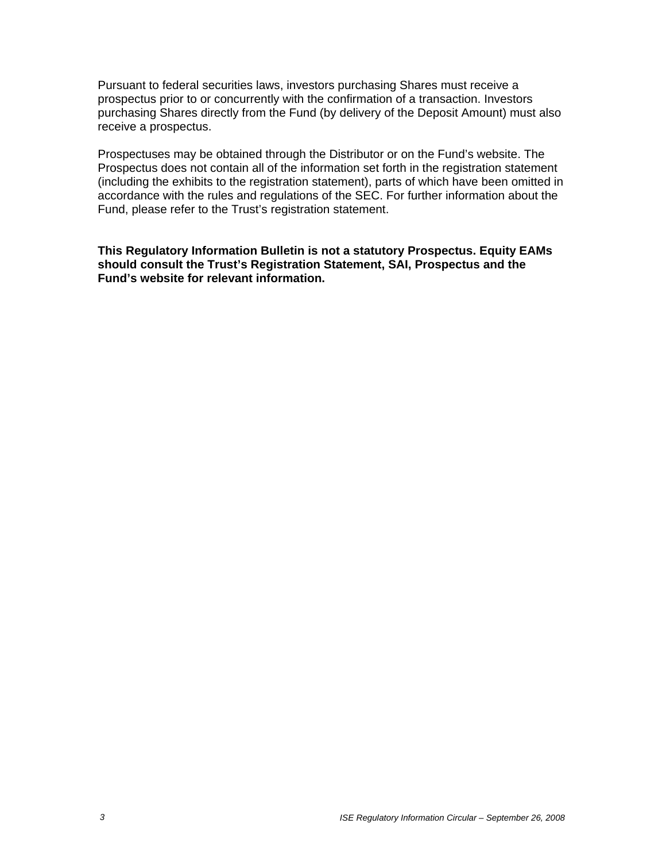Pursuant to federal securities laws, investors purchasing Shares must receive a prospectus prior to or concurrently with the confirmation of a transaction. Investors purchasing Shares directly from the Fund (by delivery of the Deposit Amount) must also receive a prospectus.

Prospectuses may be obtained through the Distributor or on the Fund's website. The Prospectus does not contain all of the information set forth in the registration statement (including the exhibits to the registration statement), parts of which have been omitted in accordance with the rules and regulations of the SEC. For further information about the Fund, please refer to the Trust's registration statement.

**This Regulatory Information Bulletin is not a statutory Prospectus. Equity EAMs should consult the Trust's Registration Statement, SAI, Prospectus and the Fund's website for relevant information.**